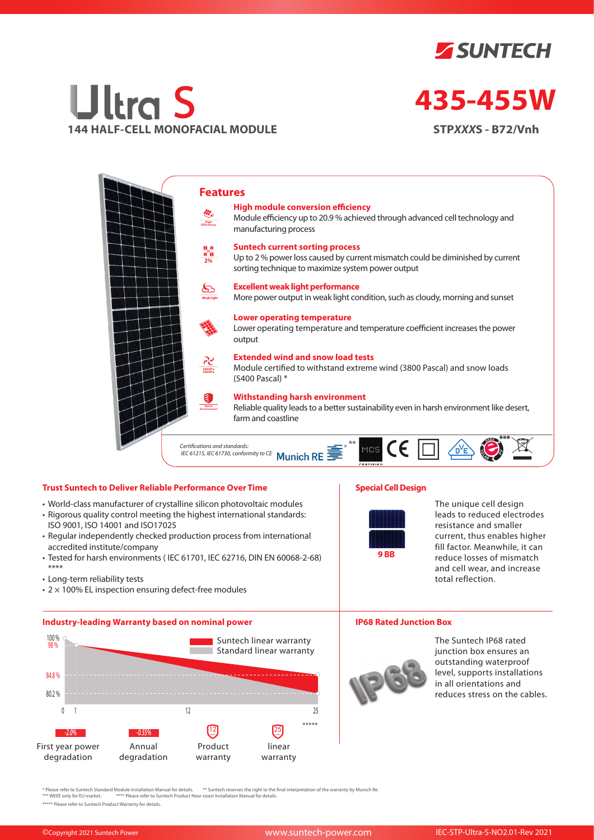



# **435-455W**

**STP***XXX***S - B72/Vnh**



## **Trust Suntech to Deliver Reliable Performance Over Time**

- World-class manufacturer of crystalline silicon photovoltaic modules
- Rigorous quality control meeting the highest international standards: ISO 9001, ISO 14001 and ISO17025
- Regular independently checked production process from international accredited institute/company
- Tested for harsh environments ( IEC 61701, IEC 62716, DIN EN 60068-2-68) \*\*\*\*
- Long-term reliability tests
- $\cdot$  2  $\times$  100% EL inspection ensuring defect-free modules

### **Industry-leading Warranty based on nominal power**



# **Special Cell Design**



The unique cell design leads to reduced electrodes resistance and smaller current, thus enables higher fill factor. Meanwhile, it can reduce losses of mismatch and cell wear, and increase total reflection.

#### **IP68 Rated Junction Box**



The Suntech IP68 rated junction box ensures an outstanding waterproof level, supports installations in all orientations and reduces stress on the cables.

\* Please refer to Suntech Standard Module Installation Manual for details. \*\* Suntech reserves the right to the final interpretation of the warranty by Munich Re.<br>\*\*\* WEEE only for EU market. \*\*\*\* Please refer to Suntech P

\*\*\*\*\* Please refer to Suntech Product Warranty for details.